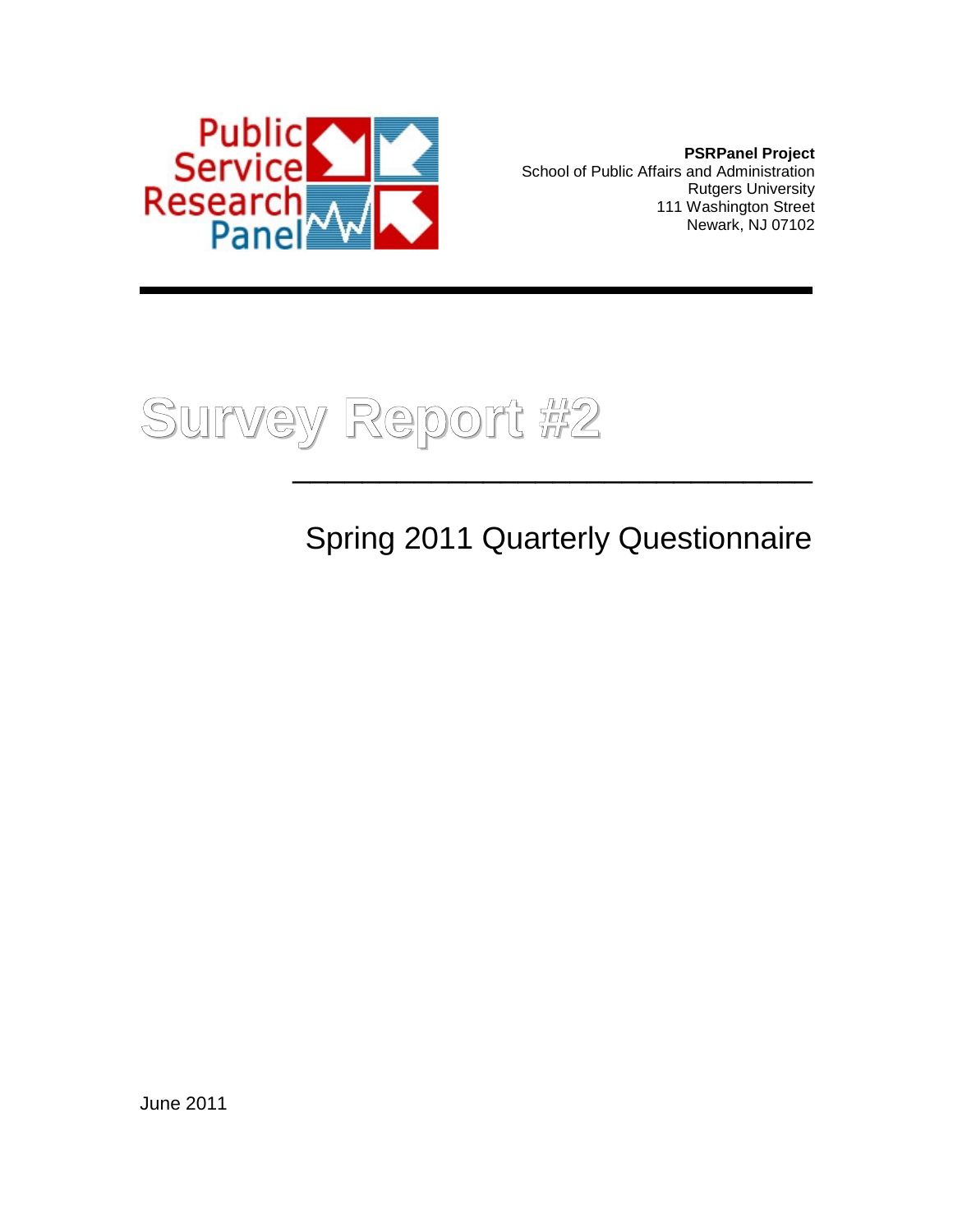

**PSRPanel Project** School of Public Affairs and Administration Rutgers University 111 Washington Street Newark, NJ 07102



Spring 2011 Quarterly Questionnaire

June 2011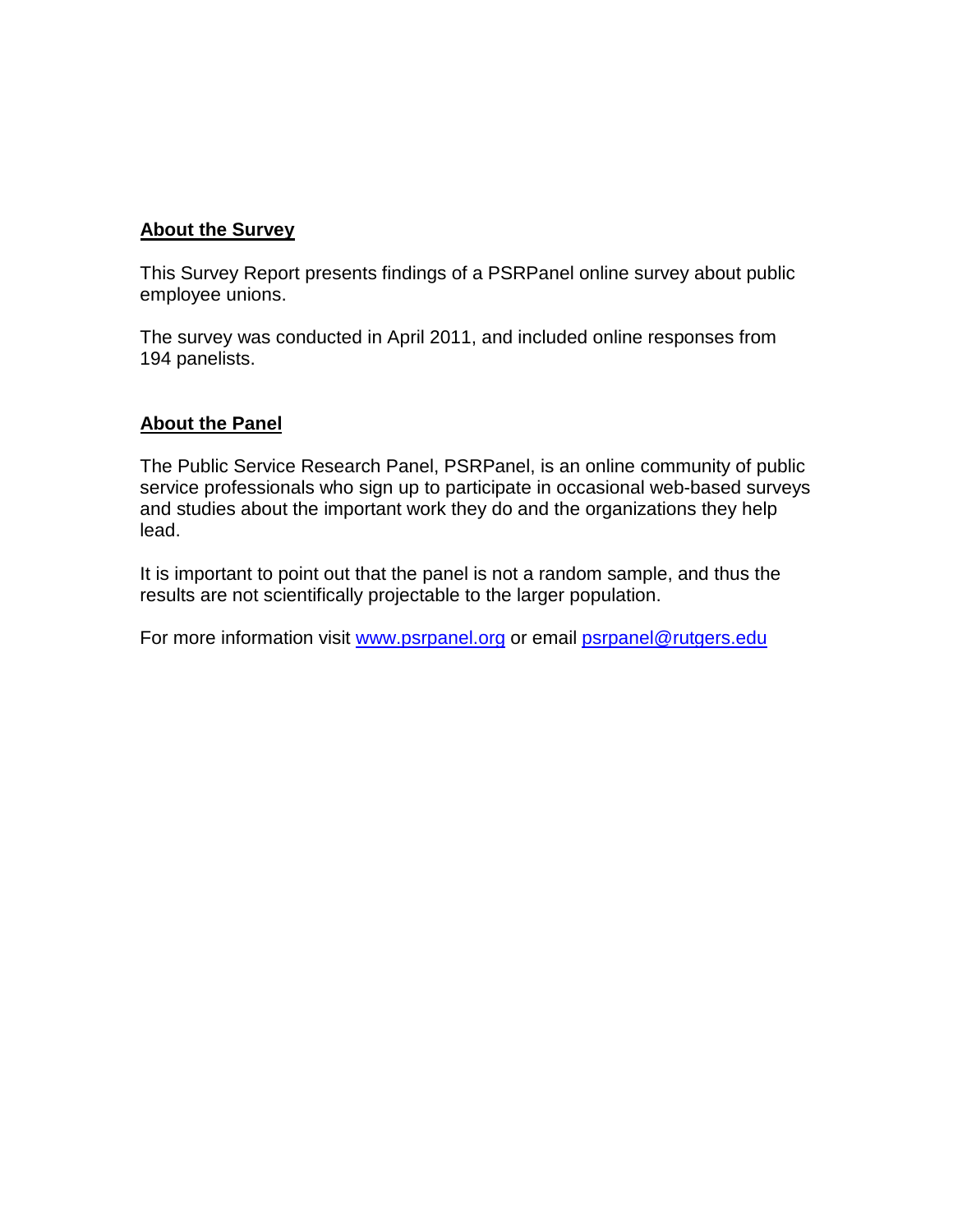#### **About the Survey**

This Survey Report presents findings of a PSRPanel online survey about public employee unions.

The survey was conducted in April 2011, and included online responses from 194 panelists.

#### **About the Panel**

The Public Service Research Panel, PSRPanel, is an online community of public service professionals who sign up to participate in occasional web-based surveys and studies about the important work they do and the organizations they help lead.

It is important to point out that the panel is not a random sample, and thus the results are not scientifically projectable to the larger population.

For more information visit [www.psrpanel.org](http://www.psrpanel.org/) or email [psrpanel@rutgers.edu](mailto:psrpanel@rutgers.edu)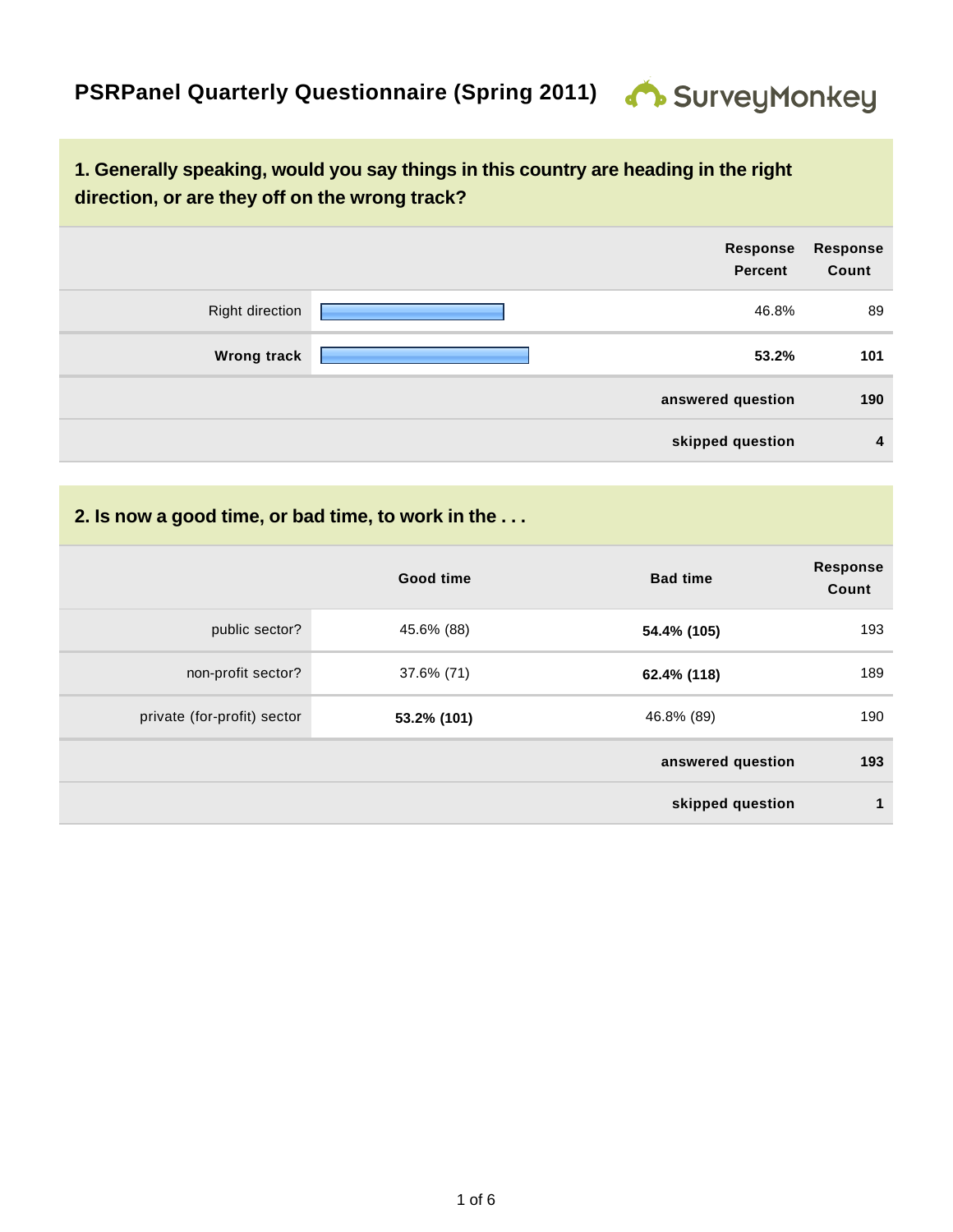## **1. Generally speaking, would you say things in this country are heading in the right direction, or are they off on the wrong track?**

|                        | Response<br><b>Percent</b> | <b>Response</b><br>Count |
|------------------------|----------------------------|--------------------------|
| <b>Right direction</b> | 46.8%                      | 89                       |
| <b>Wrong track</b>     | 53.2%                      | 101                      |
|                        | answered question          | 190                      |
|                        | skipped question           | $\overline{4}$           |

## **2. Is now a good time, or bad time, to work in the . . .**

|                             | Good time   | <b>Bad time</b>   | <b>Response</b><br>Count |
|-----------------------------|-------------|-------------------|--------------------------|
| public sector?              | 45.6% (88)  | 54.4% (105)       | 193                      |
| non-profit sector?          | 37.6% (71)  | 62.4% (118)       | 189                      |
| private (for-profit) sector | 53.2% (101) | 46.8% (89)        | 190                      |
|                             |             | answered question | 193                      |
|                             |             | skipped question  | 1                        |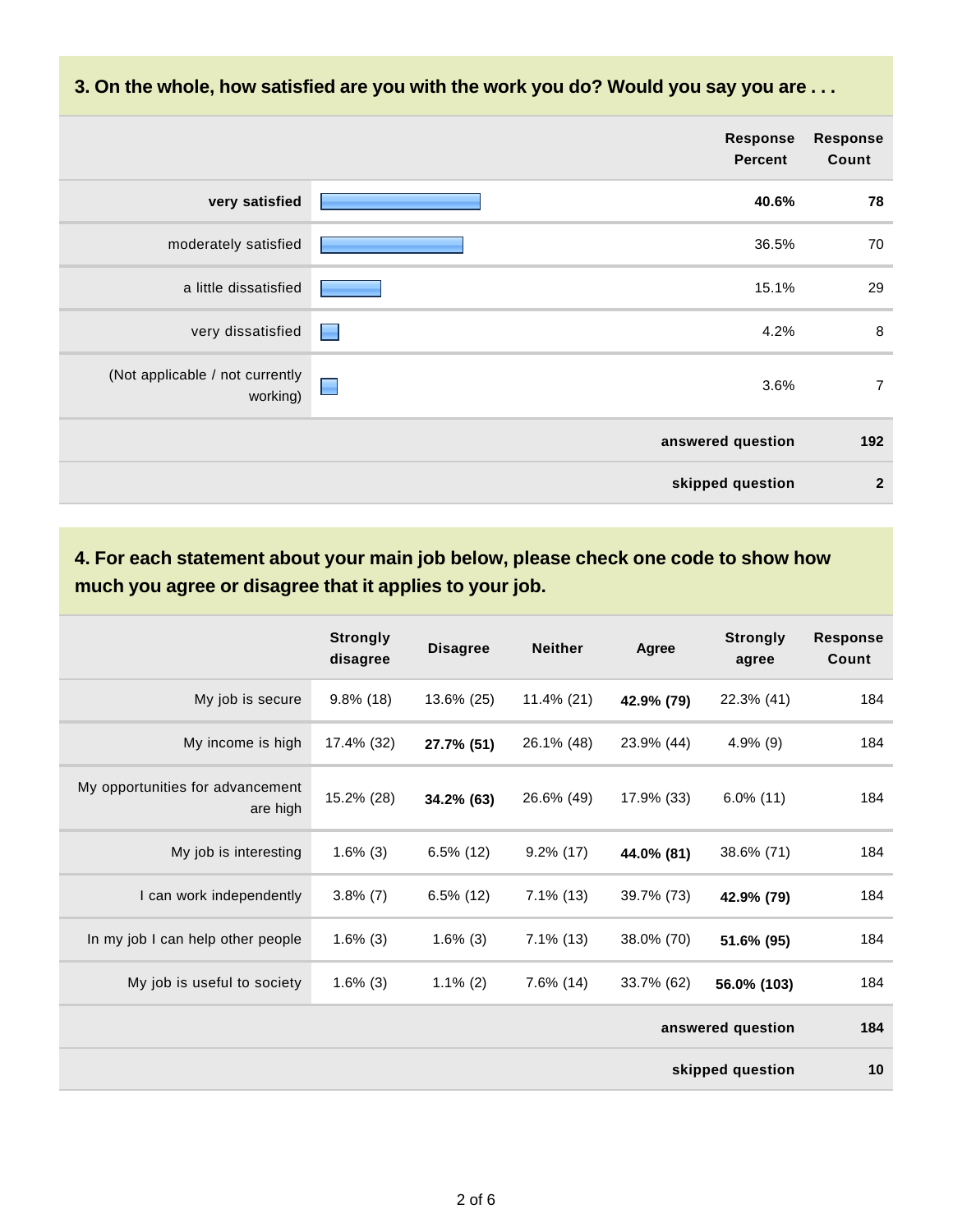**3. On the whole, how satisfied are you with the work you do? Would you say you are . . .**

|                                             | <b>Response</b><br><b>Percent</b>    | <b>Response</b><br>Count |
|---------------------------------------------|--------------------------------------|--------------------------|
| very satisfied                              | 40.6%                                | 78                       |
| moderately satisfied                        | 36.5%                                | 70                       |
| a little dissatisfied                       | 15.1%                                | 29                       |
| very dissatisfied                           | 4.2%<br><u> Literature de la pro</u> | 8                        |
| (Not applicable / not currently<br>working) | ■<br>3.6%                            | $\overline{7}$           |
|                                             | answered question                    | 192                      |
|                                             | skipped question                     | $\overline{2}$           |

## **4. For each statement about your main job below, please check one code to show how much you agree or disagree that it applies to your job.**

|                                              | <b>Strongly</b><br>disagree | <b>Disagree</b> | <b>Neither</b> | Agree      | <b>Strongly</b><br>agree | <b>Response</b><br>Count |
|----------------------------------------------|-----------------------------|-----------------|----------------|------------|--------------------------|--------------------------|
| My job is secure                             | $9.8\%$ (18)                | 13.6% (25)      | $11.4\%$ (21)  | 42.9% (79) | 22.3% (41)               | 184                      |
| My income is high                            | 17.4% (32)                  | 27.7% (51)      | 26.1% (48)     | 23.9% (44) | $4.9\%$ (9)              | 184                      |
| My opportunities for advancement<br>are high | 15.2% (28)                  | 34.2% (63)      | 26.6% (49)     | 17.9% (33) | $6.0\%$ (11)             | 184                      |
| My job is interesting                        | $1.6\%$ (3)                 | $6.5\%$ (12)    | $9.2\%$ (17)   | 44.0% (81) | 38.6% (71)               | 184                      |
| I can work independently                     | $3.8\%$ (7)                 | $6.5\%$ (12)    | $7.1\%$ (13)   | 39.7% (73) | 42.9% (79)               | 184                      |
| In my job I can help other people            | $1.6\%$ (3)                 | $1.6\%$ (3)     | $7.1\%$ (13)   | 38.0% (70) | 51.6% (95)               | 184                      |
| My job is useful to society                  | $1.6\%$ (3)                 | $1.1\%$ (2)     | $7.6\%$ (14)   | 33.7% (62) | 56.0% (103)              | 184                      |
|                                              |                             |                 |                |            | answered question        | 184                      |
|                                              |                             |                 |                |            | skipped question         | 10                       |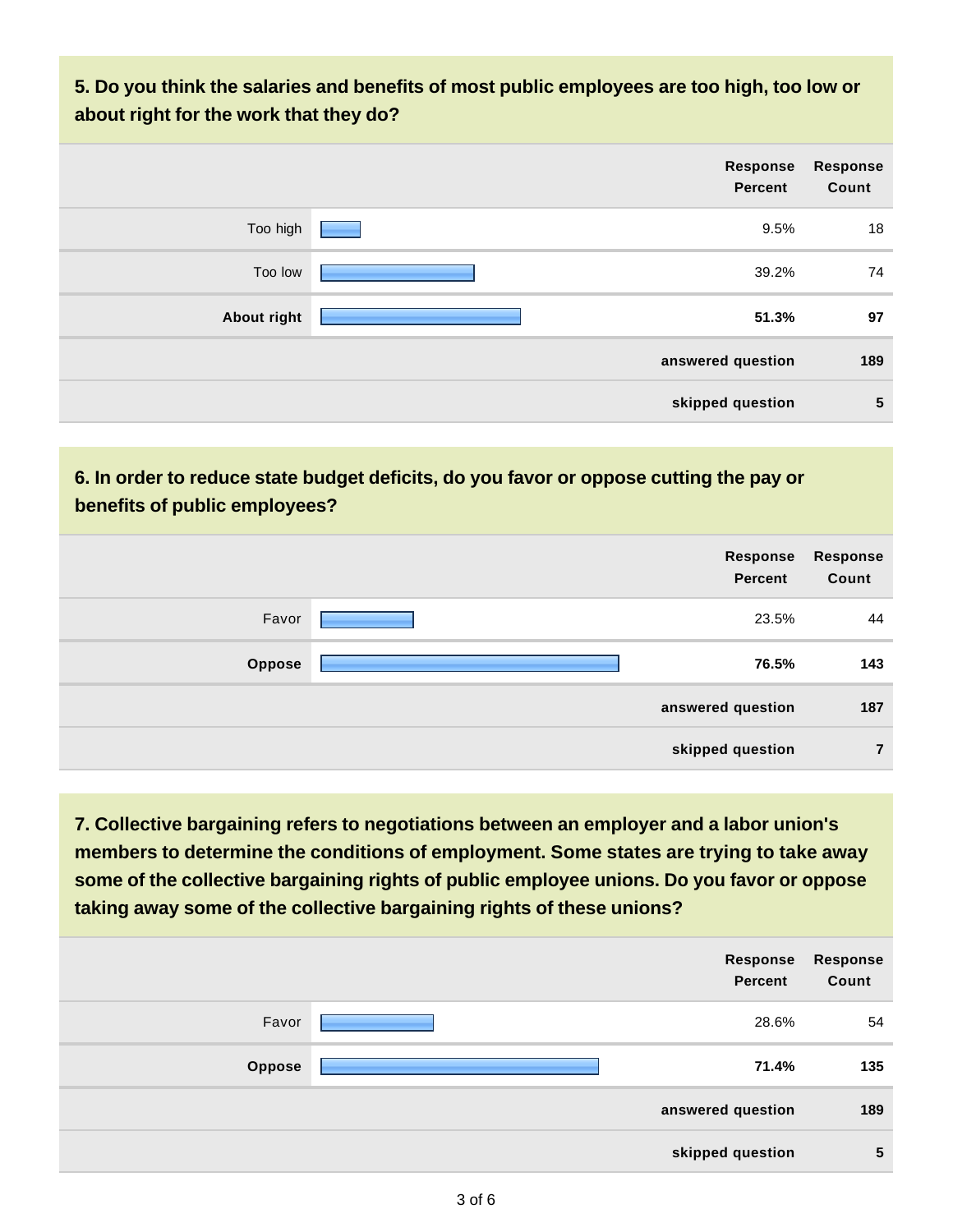**5. Do you think the salaries and benefits of most public employees are too high, too low or about right for the work that they do?**

|             | Response<br><b>Percent</b> | <b>Response</b><br>Count |
|-------------|----------------------------|--------------------------|
| Too high    | 9.5%                       | 18                       |
| Too low     | 39.2%                      | 74                       |
| About right | 51.3%                      | 97                       |
|             | answered question          | 189                      |
|             | skipped question           | $\sqrt{5}$               |

### **6. In order to reduce state budget deficits, do you favor or oppose cutting the pay or benefits of public employees?**

|               | Response<br><b>Percent</b> | <b>Response</b><br>Count |
|---------------|----------------------------|--------------------------|
| Favor         | 23.5%                      | 44                       |
| <b>Oppose</b> | 76.5%                      | 143                      |
|               | answered question          | 187                      |
|               | skipped question           | 7                        |

**7. Collective bargaining refers to negotiations between an employer and a labor union's members to determine the conditions of employment. Some states are trying to take away some of the collective bargaining rights of public employee unions. Do you favor or oppose taking away some of the collective bargaining rights of these unions?**

|               | Response<br><b>Percent</b> | Response<br>Count |
|---------------|----------------------------|-------------------|
| Favor         | 28.6%                      | 54                |
| <b>Oppose</b> | 71.4%                      | 135               |
|               | answered question          | 189               |
|               | skipped question           | 5                 |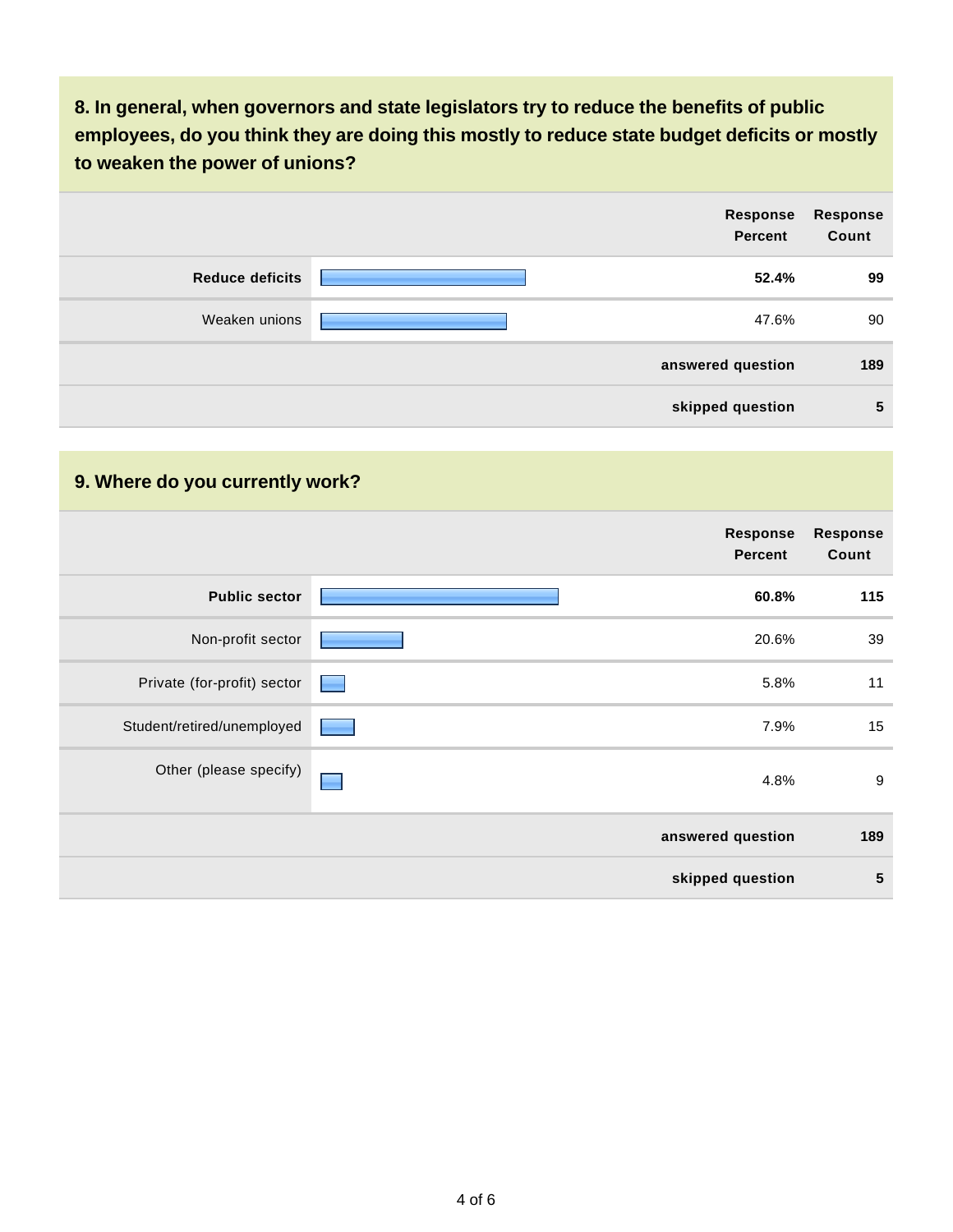**8. In general, when governors and state legislators try to reduce the benefits of public employees, do you think they are doing this mostly to reduce state budget deficits or mostly to weaken the power of unions?**

|                        | Response<br><b>Percent</b> | <b>Response</b><br>Count |
|------------------------|----------------------------|--------------------------|
| <b>Reduce deficits</b> | 52.4%                      | 99                       |
| Weaken unions          | 47.6%                      | 90                       |
|                        | answered question          | 189                      |
|                        | skipped question           | $5\phantom{1}$           |

### **9. Where do you currently work?**

|                             | <b>Response</b><br><b>Percent</b> | <b>Response</b><br>Count |
|-----------------------------|-----------------------------------|--------------------------|
| <b>Public sector</b>        | 60.8%                             | 115                      |
| Non-profit sector           | 20.6%                             | 39                       |
| Private (for-profit) sector | 5.8%                              | 11                       |
| Student/retired/unemployed  | 7.9%                              | 15                       |
| Other (please specify)      | 4.8%                              | 9                        |
|                             | answered question                 | 189                      |
|                             | skipped question                  | $5\phantom{1}$           |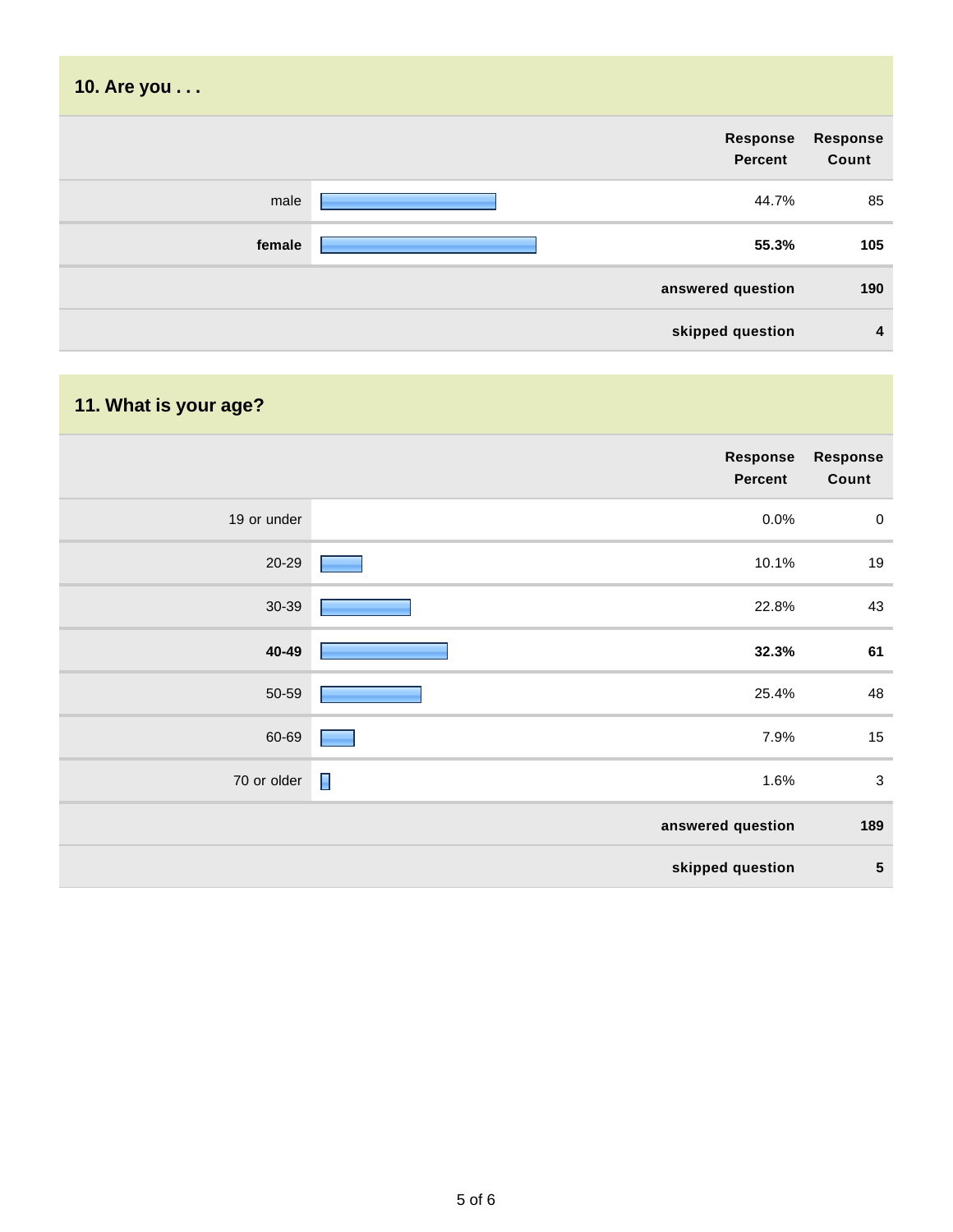| 10. Are you |                            |                          |
|-------------|----------------------------|--------------------------|
|             | Response<br><b>Percent</b> | <b>Response</b><br>Count |
| male        | 44.7%                      | 85                       |
| female      | 55.3%                      | 105                      |
|             | answered question          | 190                      |
|             | skipped question           | 4                        |

# **11. What is your age?**

|             | Response<br><b>Percent</b> | Response<br>Count |
|-------------|----------------------------|-------------------|
| 19 or under | 0.0%                       | $\pmb{0}$         |
| 20-29       | 10.1%                      | 19                |
| 30-39       | 22.8%                      | 43                |
| 40-49       | 32.3%                      | 61                |
| 50-59       | 25.4%                      | 48                |
| 60-69       | 7.9%                       | 15                |
| 70 or older | $\blacksquare$<br>1.6%     | $\sqrt{3}$        |
|             | answered question          | 189               |
|             | skipped question           | ${\bf 5}$         |